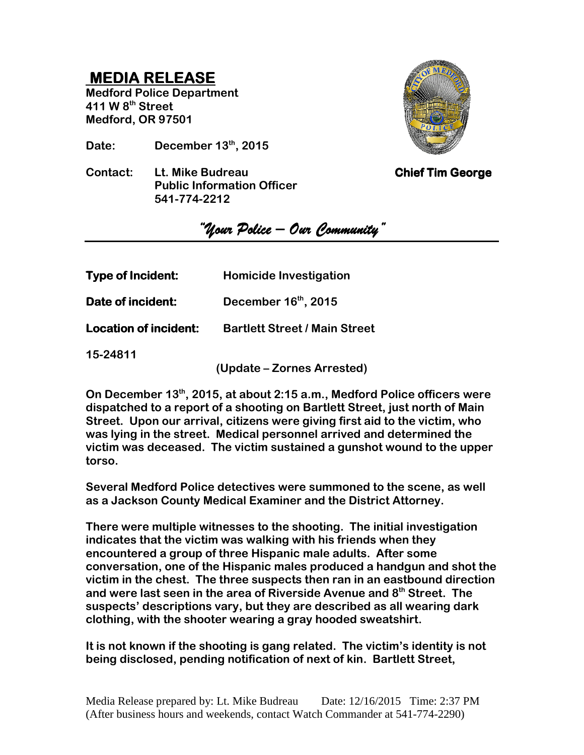## **MEDIA RELEASE MEDIA RELEASERELEASE**

**Medford Police Department 411 W 8th Street Medford, OR 97501** 

**Date: December 13th, 2015** 

**Contact:** Lt. Mike Budreau **Chief Tim George Public Information Officer 541-774-2212** 



*"Your Police – Police –Our Community" Our Community" Our Community"* 

| <b>Type of Incident:</b> | <b>Homicide Investigation</b>        |
|--------------------------|--------------------------------------|
| Date of incident:        | December $16th$ , 2015               |
| Location of incident:    | <b>Bartlett Street / Main Street</b> |

**15-24811** 

**(Update – Zornes Arrested)** 

**On December 13th, 2015, at about 2:15 a.m., Medford Police officers were dispatched to a report of a shooting on Bartlett Street, just north of Main Street. Upon our arrival, citizens were giving first aid to the victim, who was lying in the street. Medical personnel arrived and determined the victim was deceased. The victim sustained a gunshot wound to the upper torso.** 

**Several Medford Police detectives were summoned to the scene, as well as a Jackson County Medical Examiner and the District Attorney.** 

**There were multiple witnesses to the shooting. The initial investigation indicates that the victim was walking with his friends when they encountered a group of three Hispanic male adults. After some conversation, one of the Hispanic males produced a handgun and shot the victim in the chest. The three suspects then ran in an eastbound direction and were last seen in the area of Riverside Avenue and 8th Street. The suspects' descriptions vary, but they are described as all wearing dark clothing, with the shooter wearing a gray hooded sweatshirt.** 

**It is not known if the shooting is gang related. The victim's identity is not being disclosed, pending notification of next of kin. Bartlett Street,**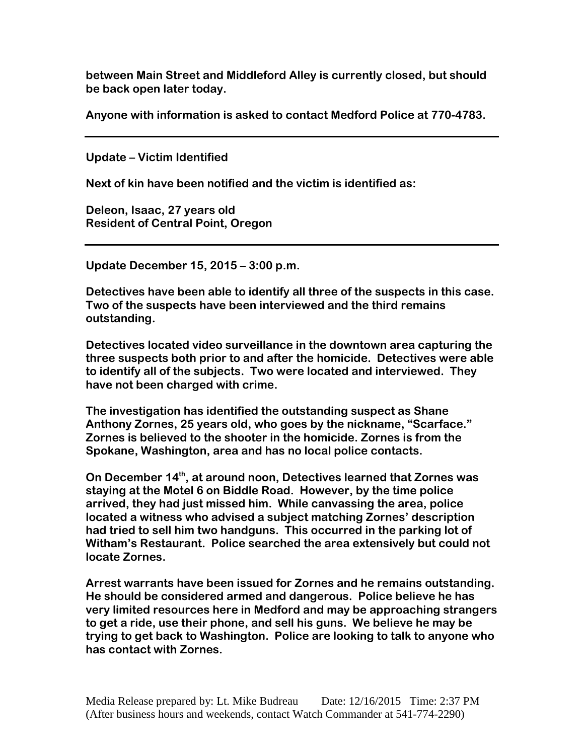**between Main Street and Middleford Alley is currently closed, but should be back open later today.** 

**Anyone with information is asked to contact Medford Police at 770-4783.** 

**Update – Victim Identified** 

**Next of kin have been notified and the victim is identified as:** 

**Deleon, Isaac, 27 years old Resident of Central Point, Oregon** 

**Update December 15, 2015 – 3:00 p.m.** 

**Detectives have been able to identify all three of the suspects in this case. Two of the suspects have been interviewed and the third remains outstanding.** 

**Detectives located video surveillance in the downtown area capturing the three suspects both prior to and after the homicide. Detectives were able to identify all of the subjects. Two were located and interviewed. They have not been charged with crime.** 

**The investigation has identified the outstanding suspect as Shane Anthony Zornes, 25 years old, who goes by the nickname, "Scarface." Zornes is believed to the shooter in the homicide. Zornes is from the Spokane, Washington, area and has no local police contacts.** 

**On December 14th, at around noon, Detectives learned that Zornes was staying at the Motel 6 on Biddle Road. However, by the time police arrived, they had just missed him. While canvassing the area, police located a witness who advised a subject matching Zornes' description had tried to sell him two handguns. This occurred in the parking lot of Witham's Restaurant. Police searched the area extensively but could not locate Zornes.** 

**Arrest warrants have been issued for Zornes and he remains outstanding. He should be considered armed and dangerous. Police believe he has very limited resources here in Medford and may be approaching strangers to get a ride, use their phone, and sell his guns. We believe he may be trying to get back to Washington. Police are looking to talk to anyone who has contact with Zornes.**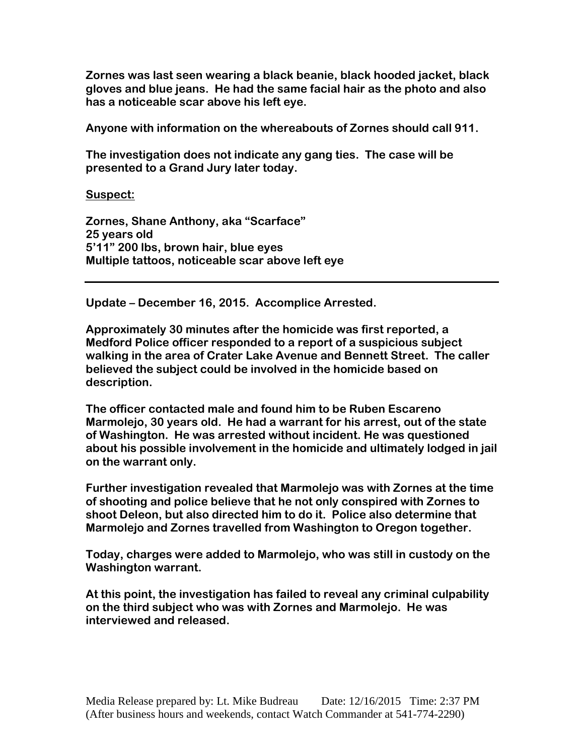**Zornes was last seen wearing a black beanie, black hooded jacket, black gloves and blue jeans. He had the same facial hair as the photo and also has a noticeable scar above his left eye.** 

**Anyone with information on the whereabouts of Zornes should call 911.** 

**The investigation does not indicate any gang ties. The case will be presented to a Grand Jury later today.** 

**Suspect:** 

**Zornes, Shane Anthony, aka "Scarface" 25 years old 5'11" 200 lbs, brown hair, blue eyes Multiple tattoos, noticeable scar above left eye** 

**Update – December 16, 2015. Accomplice Arrested.** 

**Approximately 30 minutes after the homicide was first reported, a Medford Police officer responded to a report of a suspicious subject walking in the area of Crater Lake Avenue and Bennett Street. The caller believed the subject could be involved in the homicide based on description.** 

**The officer contacted male and found him to be Ruben Escareno Marmolejo, 30 years old. He had a warrant for his arrest, out of the state of Washington. He was arrested without incident. He was questioned about his possible involvement in the homicide and ultimately lodged in jail on the warrant only.** 

**Further investigation revealed that Marmolejo was with Zornes at the time of shooting and police believe that he not only conspired with Zornes to shoot Deleon, but also directed him to do it. Police also determine that Marmolejo and Zornes travelled from Washington to Oregon together.** 

**Today, charges were added to Marmolejo, who was still in custody on the Washington warrant.** 

**At this point, the investigation has failed to reveal any criminal culpability on the third subject who was with Zornes and Marmolejo. He was interviewed and released.**